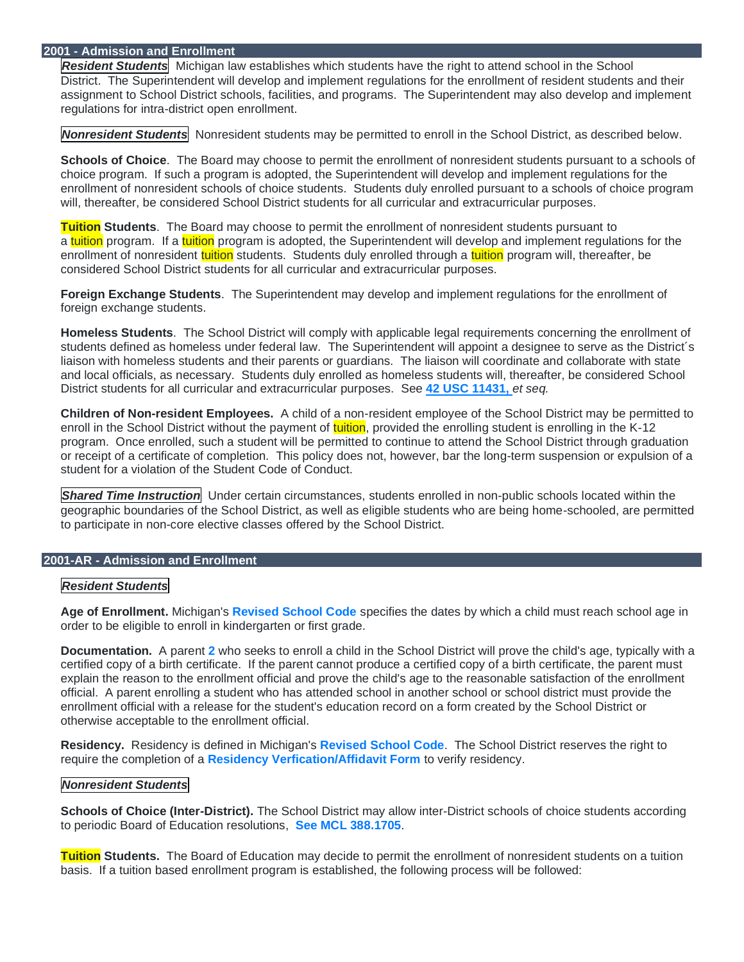## **2001 - Admission and Enrollment**

*Resident Students* Michigan law establishes which students have the right to attend school in the School District. The Superintendent will develop and implement regulations for the enrollment of resident students and their assignment to School District schools, facilities, and programs. The Superintendent may also develop and implement regulations for intra-district open enrollment.

*Nonresident Students* Nonresident students may be permitted to enroll in the School District, as described below.

**Schools of Choice**. The Board may choose to permit the enrollment of nonresident students pursuant to a schools of choice program. If such a program is adopted, the Superintendent will develop and implement regulations for the enrollment of nonresident schools of choice students. Students duly enrolled pursuant to a schools of choice program will, thereafter, be considered School District students for all curricular and extracurricular purposes.

**Tuition Students**. The Board may choose to permit the enrollment of nonresident students pursuant to a tuition program. If a tuition program is adopted, the Superintendent will develop and implement regulations for the enrollment of nonresident tuition students. Students duly enrolled through a tuition program will, thereafter, be considered School District students for all curricular and extracurricular purposes.

**Foreign Exchange Students**. The Superintendent may develop and implement regulations for the enrollment of foreign exchange students.

**Homeless Students**. The School District will comply with applicable legal requirements concerning the enrollment of students defined as homeless under federal law. The Superintendent will appoint a designee to serve as the District's liaison with homeless students and their parents or guardians. The liaison will coordinate and collaborate with state and local officials, as necessary. Students duly enrolled as homeless students will, thereafter, be considered School District students for all curricular and extracurricular purposes. See **[42 USC 11431,](https://www.govinfo.gov/content/pkg/USCODE-2010-title42/html/USCODE-2010-title42-chap119-subchapVI-partB.htm)** *et seq.*

**Children of Non-resident Employees.** A child of a non-resident employee of the School District may be permitted to enroll in the School District without the payment of tuition, provided the enrolling student is enrolling in the K-12 program. Once enrolled, such a student will be permitted to continue to attend the School District through graduation or receipt of a certificate of completion. This policy does not, however, bar the long-term suspension or expulsion of a student for a violation of the Student Code of Conduct.

**Shared Time Instruction** Under certain circumstances, students enrolled in non-public schools located within the geographic boundaries of the School District, as well as eligible students who are being home-schooled, are permitted to participate in non-core elective classes offered by the School District.

## **2001-AR - Admission and Enrollment**

## *Resident Students*

**Age of Enrollment.** Michigan's **[Revised School Code](http://legislature.mi.gov/doc.aspx?mcl-380-1147)** specifies the dates by which a child must reach school age in order to be eligible to enroll in kindergarten or first grade.

**Documentation.** A parent **[2](https://z2policy.ctspublish.com/luskalbertson/)** who seeks to enroll a child in the School District will prove the child's age, typically with a certified copy of a birth certificate. If the parent cannot produce a certified copy of a birth certificate, the parent must explain the reason to the enrollment official and prove the child's age to the reasonable satisfaction of the enrollment official. A parent enrolling a student who has attended school in another school or school district must provide the enrollment official with a release for the student's education record on a form created by the School District or otherwise acceptable to the enrollment official.

**Residency.** Residency is defined in Michigan's **[Revised School Code](https://www.michigan.gov/documents/residency_122548_7.pdf)**. The School District reserves the right to require the completion of a **[Residency Verfication/Affidavit Form](http://harborps.org/wp-content/uploads/2021/09/Residency-Verification.pdf)** to verify residency.

## *Nonresident Students*

**Schools of Choice (Inter-District).** The School District may allow inter-District schools of choice students according to periodic Board of Education resolutions, **[See MCL 388.1705](http://www.legislature.mi.gov/(S(w5rodvm1rxckdojoplqi3rkb))/mileg.aspx?page=GetObject&objectname=mcl-388-1705)**.

**Tuition Students.** The Board of Education may decide to permit the enrollment of nonresident students on a tuition basis. If a tuition based enrollment program is established, the following process will be followed: